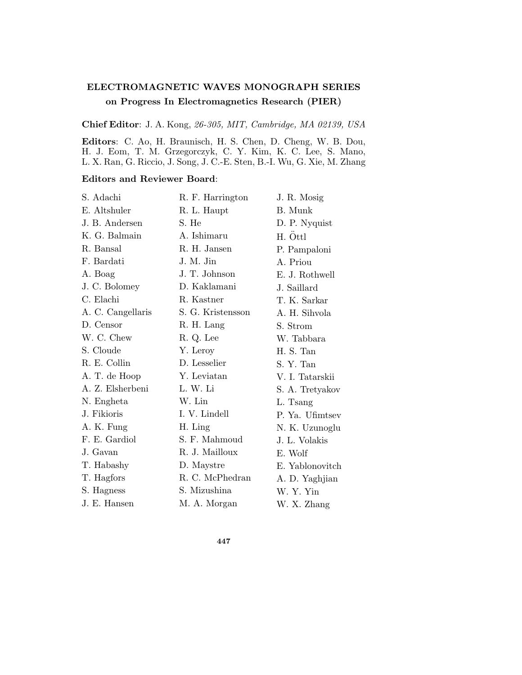## **ELECTROMAGNETIC WAVES MONOGRAPH SERIES on Progress In Electromagnetics Research (PIER)**

**Chief Editor**: J. A. Kong, 26-305, MIT, Cambridge, MA 02139, USA

**Editors**: C. Ao, H. Braunisch, H. S. Chen, D. Cheng, W. B. Dou, H. J. Eom, T. M. Grzegorczyk, C. Y. Kim, K. C. Lee, S. Mano, L. X. Ran, G. Riccio, J. Song, J. C.-E. Sten, B.-I. Wu, G. Xie, M. Zhang

## **Editors and Reviewer Board**:

| S. Adachi         | R. F. Harrington  | J. R. Mosig     |
|-------------------|-------------------|-----------------|
| E. Altshuler      | R. L. Haupt       | B. Munk         |
| J. B. Andersen    | S. He             | D. P. Nyquist   |
| K. G. Balmain     | A. Ishimaru       | H. Öttl         |
| R. Bansal         | R. H. Jansen      | P. Pampaloni    |
| F. Bardati        | J. M. Jin         | A. Priou        |
| A. Boag           | J. T. Johnson     | E. J. Rothwell  |
| J. C. Bolomey     | D. Kaklamani      | J. Saillard     |
| C. Elachi         | R. Kastner        | T. K. Sarkar    |
| A. C. Cangellaris | S. G. Kristensson | A. H. Sihvola   |
| D. Censor         | R. H. Lang        | S. Strom        |
| W. C. Chew        | R. Q. Lee         | W. Tabbara      |
| S. Cloude         | Y. Leroy          | H. S. Tan       |
| R. E. Collin      | D. Lesselier      | S. Y. Tan       |
| A. T. de Hoop     | Y. Leviatan       | V. I. Tatarskii |
| A. Z. Elsherbeni  | L. W. Li          | S. A. Tretyakov |
| N. Engheta        | W. Lin            | L. Tsang        |
| J. Fikioris       | I. V. Lindell     | P. Ya. Ufimtsev |
| A. K. Fung        | H. Ling           | N. K. Uzunoglu  |
| F. E. Gardiol     | S. F. Mahmoud     | J. L. Volakis   |
| J. Gavan          | R. J. Mailloux    | E. Wolf         |
| T. Habashy        | D. Maystre        | E. Yablonovitch |
| T. Hagfors        | R. C. McPhedran   | A. D. Yaghjian  |
| S. Hagness        | S. Mizushina      | W. Y. Yin       |
| J. E. Hansen      | M. A. Morgan      | W. X. Zhang     |

**447**